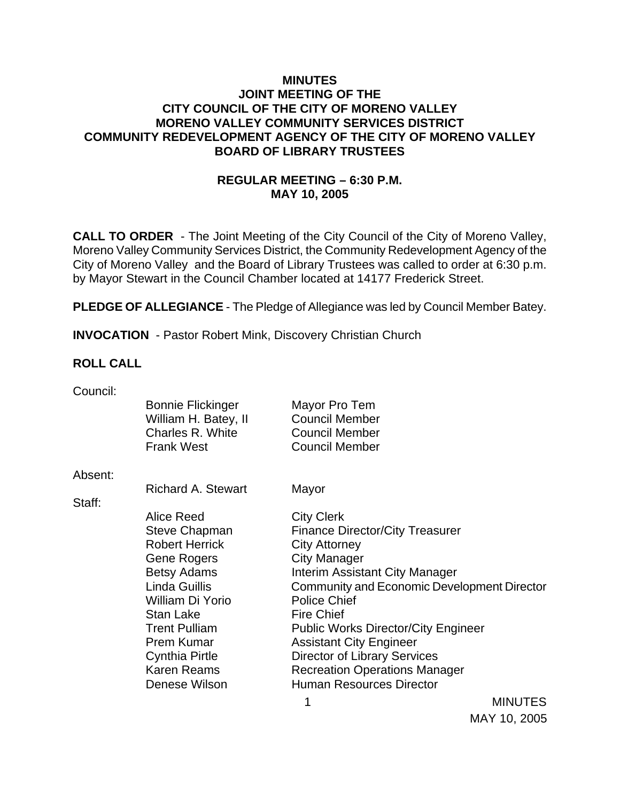### **MINUTES JOINT MEETING OF THE CITY COUNCIL OF THE CITY OF MORENO VALLEY MORENO VALLEY COMMUNITY SERVICES DISTRICT COMMUNITY REDEVELOPMENT AGENCY OF THE CITY OF MORENO VALLEY BOARD OF LIBRARY TRUSTEES**

# **REGULAR MEETING – 6:30 P.M. MAY 10, 2005**

**CALL TO ORDER** - The Joint Meeting of the City Council of the City of Moreno Valley, Moreno Valley Community Services District, the Community Redevelopment Agency of the City of Moreno Valley and the Board of Library Trustees was called to order at 6:30 p.m. by Mayor Stewart in the Council Chamber located at 14177 Frederick Street.

**PLEDGE OF ALLEGIANCE** - The Pledge of Allegiance was led by Council Member Batey.

**INVOCATION** - Pastor Robert Mink, Discovery Christian Church

#### **ROLL CALL**

| <b>Bonnie Flickinger</b> | Mayor Pro Tem                                      |                                                     |  |
|--------------------------|----------------------------------------------------|-----------------------------------------------------|--|
| William H. Batey, II     | <b>Council Member</b>                              |                                                     |  |
| Charles R. White         | <b>Council Member</b>                              |                                                     |  |
| <b>Frank West</b>        | <b>Council Member</b>                              |                                                     |  |
|                          |                                                    |                                                     |  |
|                          |                                                    |                                                     |  |
|                          |                                                    |                                                     |  |
| Alice Reed               | <b>City Clerk</b>                                  |                                                     |  |
| <b>Steve Chapman</b>     | <b>Finance Director/City Treasurer</b>             |                                                     |  |
| <b>Robert Herrick</b>    | <b>City Attorney</b>                               |                                                     |  |
| Gene Rogers              | <b>City Manager</b>                                |                                                     |  |
| <b>Betsy Adams</b>       | <b>Interim Assistant City Manager</b>              |                                                     |  |
| Linda Guillis            | <b>Community and Economic Development Director</b> |                                                     |  |
| William Di Yorio         | <b>Police Chief</b>                                |                                                     |  |
| Stan Lake                | <b>Fire Chief</b>                                  |                                                     |  |
| <b>Trent Pulliam</b>     |                                                    |                                                     |  |
| Prem Kumar               | <b>Assistant City Engineer</b>                     |                                                     |  |
| <b>Cynthia Pirtle</b>    | Director of Library Services                       |                                                     |  |
| <b>Karen Reams</b>       | <b>Recreation Operations Manager</b>               |                                                     |  |
| Denese Wilson            | <b>Human Resources Director</b>                    |                                                     |  |
|                          | 1                                                  | <b>MINUTES</b>                                      |  |
|                          | <b>Richard A. Stewart</b>                          | Mayor<br><b>Public Works Director/City Engineer</b> |  |

MAY 10, 2005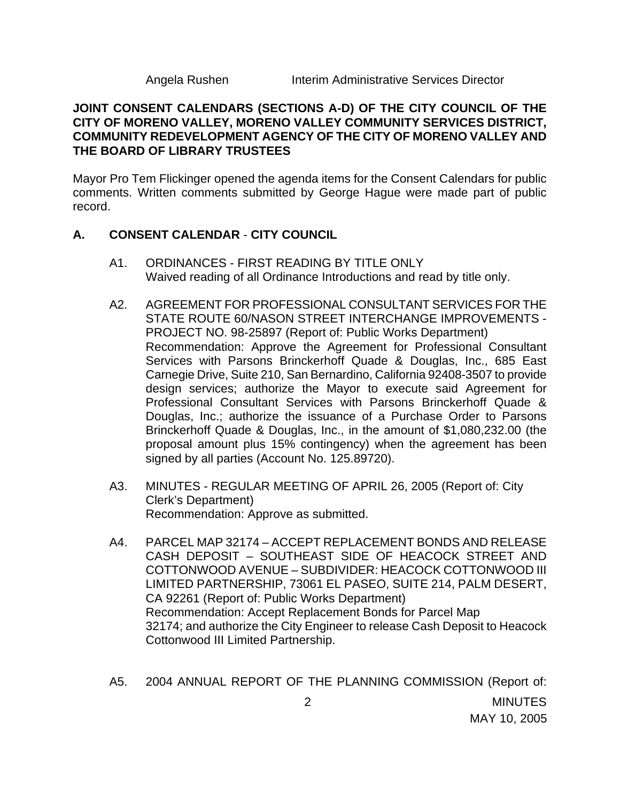### **JOINT CONSENT CALENDARS (SECTIONS A-D) OF THE CITY COUNCIL OF THE CITY OF MORENO VALLEY, MORENO VALLEY COMMUNITY SERVICES DISTRICT, COMMUNITY REDEVELOPMENT AGENCY OF THE CITY OF MORENO VALLEY AND THE BOARD OF LIBRARY TRUSTEES**

Mayor Pro Tem Flickinger opened the agenda items for the Consent Calendars for public comments. Written comments submitted by George Hague were made part of public record.

## **A. CONSENT CALENDAR** - **CITY COUNCIL**

- A1. ORDINANCES FIRST READING BY TITLE ONLY Waived reading of all Ordinance Introductions and read by title only.
- A2. AGREEMENT FOR PROFESSIONAL CONSULTANT SERVICES FOR THE STATE ROUTE 60/NASON STREET INTERCHANGE IMPROVEMENTS - PROJECT NO. 98-25897 (Report of: Public Works Department) Recommendation: Approve the Agreement for Professional Consultant Services with Parsons Brinckerhoff Quade & Douglas, Inc., 685 East Carnegie Drive, Suite 210, San Bernardino, California 92408-3507 to provide design services; authorize the Mayor to execute said Agreement for Professional Consultant Services with Parsons Brinckerhoff Quade & Douglas, Inc.; authorize the issuance of a Purchase Order to Parsons Brinckerhoff Quade & Douglas, Inc., in the amount of \$1,080,232.00 (the proposal amount plus 15% contingency) when the agreement has been signed by all parties (Account No. 125.89720).
- A3. MINUTES REGULAR MEETING OF APRIL 26, 2005 (Report of: City Clerk's Department) Recommendation: Approve as submitted.
- A4. PARCEL MAP 32174 ACCEPT REPLACEMENT BONDS AND RELEASE CASH DEPOSIT – SOUTHEAST SIDE OF HEACOCK STREET AND COTTONWOOD AVENUE – SUBDIVIDER: HEACOCK COTTONWOOD III LIMITED PARTNERSHIP, 73061 EL PASEO, SUITE 214, PALM DESERT, CA 92261 (Report of: Public Works Department) Recommendation: Accept Replacement Bonds for Parcel Map 32174; and authorize the City Engineer to release Cash Deposit to Heacock Cottonwood III Limited Partnership.
- 2 MINUTES MAY 10, 2005 A5. 2004 ANNUAL REPORT OF THE PLANNING COMMISSION (Report of: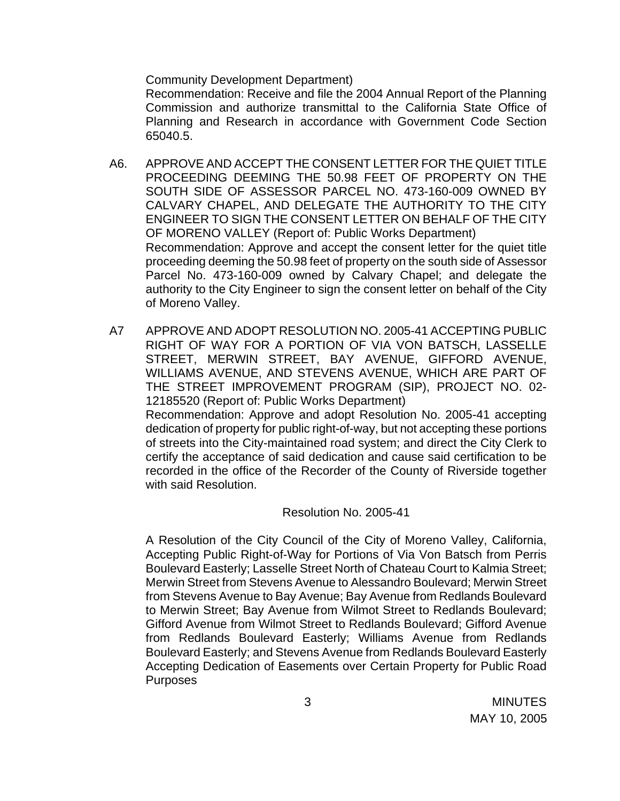Community Development Department)

Recommendation: Receive and file the 2004 Annual Report of the Planning Commission and authorize transmittal to the California State Office of Planning and Research in accordance with Government Code Section 65040.5.

- A6. APPROVE AND ACCEPT THE CONSENT LETTER FOR THE QUIET TITLE PROCEEDING DEEMING THE 50.98 FEET OF PROPERTY ON THE SOUTH SIDE OF ASSESSOR PARCEL NO. 473-160-009 OWNED BY CALVARY CHAPEL, AND DELEGATE THE AUTHORITY TO THE CITY ENGINEER TO SIGN THE CONSENT LETTER ON BEHALF OF THE CITY OF MORENO VALLEY (Report of: Public Works Department) Recommendation: Approve and accept the consent letter for the quiet title proceeding deeming the 50.98 feet of property on the south side of Assessor Parcel No. 473-160-009 owned by Calvary Chapel; and delegate the authority to the City Engineer to sign the consent letter on behalf of the City of Moreno Valley.
- A7 APPROVE AND ADOPT RESOLUTION NO. 2005-41 ACCEPTING PUBLIC RIGHT OF WAY FOR A PORTION OF VIA VON BATSCH, LASSELLE STREET, MERWIN STREET, BAY AVENUE, GIFFORD AVENUE, WILLIAMS AVENUE, AND STEVENS AVENUE, WHICH ARE PART OF THE STREET IMPROVEMENT PROGRAM (SIP), PROJECT NO. 02- 12185520 (Report of: Public Works Department) Recommendation: Approve and adopt Resolution No. 2005-41 accepting dedication of property for public right-of-way, but not accepting these portions of streets into the City-maintained road system; and direct the City Clerk to certify the acceptance of said dedication and cause said certification to be recorded in the office of the Recorder of the County of Riverside together with said Resolution.

#### Resolution No. 2005-41

 A Resolution of the City Council of the City of Moreno Valley, California, Accepting Public Right-of-Way for Portions of Via Von Batsch from Perris Boulevard Easterly; Lasselle Street North of Chateau Court to Kalmia Street; Merwin Street from Stevens Avenue to Alessandro Boulevard; Merwin Street from Stevens Avenue to Bay Avenue; Bay Avenue from Redlands Boulevard to Merwin Street; Bay Avenue from Wilmot Street to Redlands Boulevard; Gifford Avenue from Wilmot Street to Redlands Boulevard; Gifford Avenue from Redlands Boulevard Easterly; Williams Avenue from Redlands Boulevard Easterly; and Stevens Avenue from Redlands Boulevard Easterly Accepting Dedication of Easements over Certain Property for Public Road **Purposes**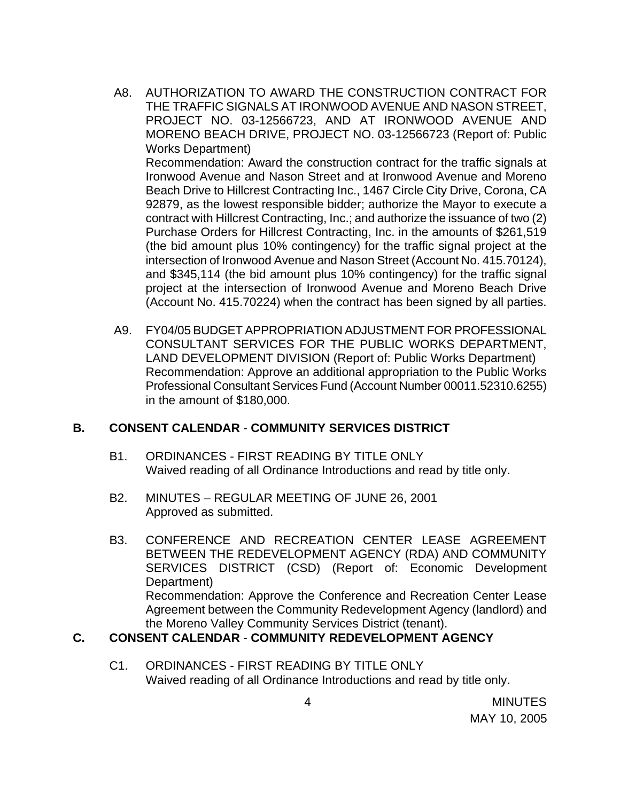A8. AUTHORIZATION TO AWARD THE CONSTRUCTION CONTRACT FOR THE TRAFFIC SIGNALS AT IRONWOOD AVENUE AND NASON STREET, PROJECT NO. 03-12566723, AND AT IRONWOOD AVENUE AND MORENO BEACH DRIVE, PROJECT NO. 03-12566723 (Report of: Public Works Department)

Recommendation: Award the construction contract for the traffic signals at Ironwood Avenue and Nason Street and at Ironwood Avenue and Moreno Beach Drive to Hillcrest Contracting Inc., 1467 Circle City Drive, Corona, CA 92879, as the lowest responsible bidder; authorize the Mayor to execute a contract with Hillcrest Contracting, Inc.; and authorize the issuance of two (2) Purchase Orders for Hillcrest Contracting, Inc. in the amounts of \$261,519 (the bid amount plus 10% contingency) for the traffic signal project at the intersection of Ironwood Avenue and Nason Street (Account No. 415.70124), and \$345,114 (the bid amount plus 10% contingency) for the traffic signal project at the intersection of Ironwood Avenue and Moreno Beach Drive (Account No. 415.70224) when the contract has been signed by all parties.

A9. FY04/05 BUDGET APPROPRIATION ADJUSTMENT FOR PROFESSIONAL CONSULTANT SERVICES FOR THE PUBLIC WORKS DEPARTMENT, LAND DEVELOPMENT DIVISION (Report of: Public Works Department) Recommendation: Approve an additional appropriation to the Public Works Professional Consultant Services Fund (Account Number 00011.52310.6255) in the amount of \$180,000.

### **B. CONSENT CALENDAR** - **COMMUNITY SERVICES DISTRICT**

- B1. ORDINANCES FIRST READING BY TITLE ONLY Waived reading of all Ordinance Introductions and read by title only.
- B2. MINUTES REGULAR MEETING OF JUNE 26, 2001 Approved as submitted.
- B3. CONFERENCE AND RECREATION CENTER LEASE AGREEMENT BETWEEN THE REDEVELOPMENT AGENCY (RDA) AND COMMUNITY SERVICES DISTRICT (CSD) (Report of: Economic Development Department) Recommendation: Approve the Conference and Recreation Center Lease Agreement between the Community Redevelopment Agency (landlord) and the Moreno Valley Community Services District (tenant).

# **C. CONSENT CALENDAR** - **COMMUNITY REDEVELOPMENT AGENCY**

C1. ORDINANCES - FIRST READING BY TITLE ONLY Waived reading of all Ordinance Introductions and read by title only.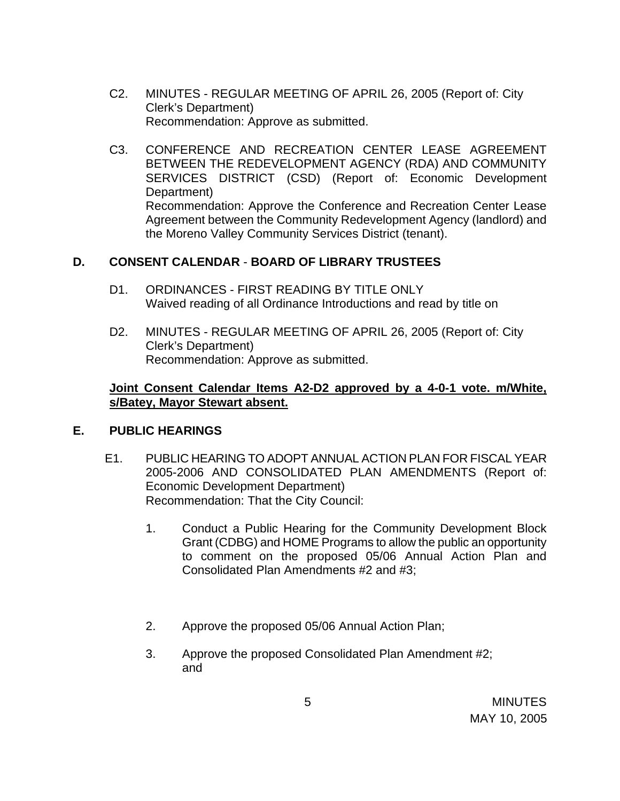- C2. MINUTES REGULAR MEETING OF APRIL 26, 2005 (Report of: City Clerk's Department) Recommendation: Approve as submitted.
- C3. CONFERENCE AND RECREATION CENTER LEASE AGREEMENT BETWEEN THE REDEVELOPMENT AGENCY (RDA) AND COMMUNITY SERVICES DISTRICT (CSD) (Report of: Economic Development Department) Recommendation: Approve the Conference and Recreation Center Lease Agreement between the Community Redevelopment Agency (landlord) and the Moreno Valley Community Services District (tenant).

# **D. CONSENT CALENDAR** - **BOARD OF LIBRARY TRUSTEES**

- D1. ORDINANCES FIRST READING BY TITLE ONLY Waived reading of all Ordinance Introductions and read by title on
- D2. MINUTES REGULAR MEETING OF APRIL 26, 2005 (Report of: City Clerk's Department) Recommendation: Approve as submitted.

### **Joint Consent Calendar Items A2-D2 approved by a 4-0-1 vote. m/White, s/Batey, Mayor Stewart absent.**

### **E. PUBLIC HEARINGS**

- E1. PUBLIC HEARING TO ADOPT ANNUAL ACTION PLAN FOR FISCAL YEAR 2005-2006 AND CONSOLIDATED PLAN AMENDMENTS (Report of: Economic Development Department) Recommendation: That the City Council:
	- 1. Conduct a Public Hearing for the Community Development Block Grant (CDBG) and HOME Programs to allow the public an opportunity to comment on the proposed 05/06 Annual Action Plan and Consolidated Plan Amendments #2 and #3;
	- 2. Approve the proposed 05/06 Annual Action Plan;
	- 3. Approve the proposed Consolidated Plan Amendment #2; and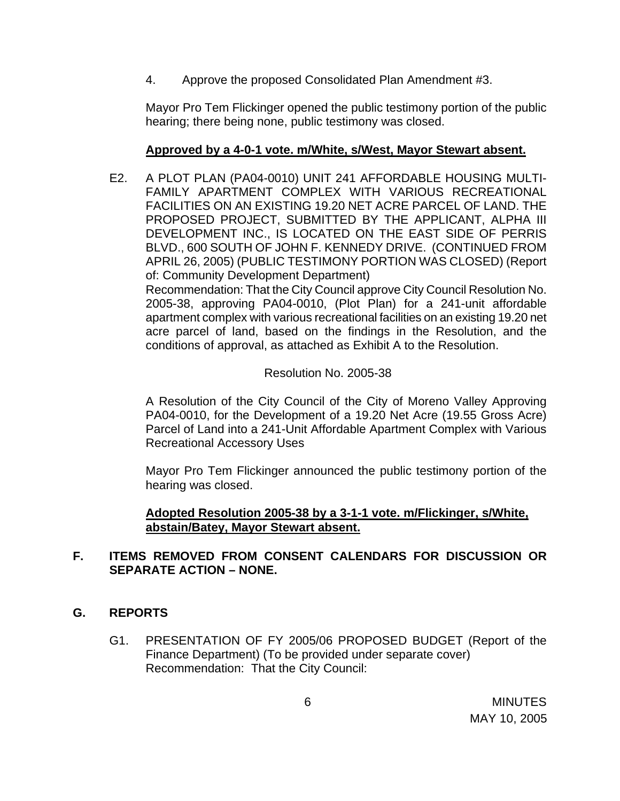4. Approve the proposed Consolidated Plan Amendment #3.

 Mayor Pro Tem Flickinger opened the public testimony portion of the public hearing; there being none, public testimony was closed.

## **Approved by a 4-0-1 vote. m/White, s/West, Mayor Stewart absent.**

 E2. A PLOT PLAN (PA04-0010) UNIT 241 AFFORDABLE HOUSING MULTI-FAMILY APARTMENT COMPLEX WITH VARIOUS RECREATIONAL FACILITIES ON AN EXISTING 19.20 NET ACRE PARCEL OF LAND. THE PROPOSED PROJECT, SUBMITTED BY THE APPLICANT, ALPHA III DEVELOPMENT INC., IS LOCATED ON THE EAST SIDE OF PERRIS BLVD., 600 SOUTH OF JOHN F. KENNEDY DRIVE. (CONTINUED FROM APRIL 26, 2005) (PUBLIC TESTIMONY PORTION WAS CLOSED) (Report of: Community Development Department)

 Recommendation: That the City Council approve City Council Resolution No. 2005-38, approving PA04-0010, (Plot Plan) for a 241-unit affordable apartment complex with various recreational facilities on an existing 19.20 net acre parcel of land, based on the findings in the Resolution, and the conditions of approval, as attached as Exhibit A to the Resolution.

## Resolution No. 2005-38

A Resolution of the City Council of the City of Moreno Valley Approving PA04-0010, for the Development of a 19.20 Net Acre (19.55 Gross Acre) Parcel of Land into a 241-Unit Affordable Apartment Complex with Various Recreational Accessory Uses

 Mayor Pro Tem Flickinger announced the public testimony portion of the hearing was closed.

## **Adopted Resolution 2005-38 by a 3-1-1 vote. m/Flickinger, s/White, abstain/Batey, Mayor Stewart absent.**

## **F. ITEMS REMOVED FROM CONSENT CALENDARS FOR DISCUSSION OR SEPARATE ACTION – NONE.**

### **G. REPORTS**

G1. PRESENTATION OF FY 2005/06 PROPOSED BUDGET (Report of the Finance Department) (To be provided under separate cover) Recommendation: That the City Council: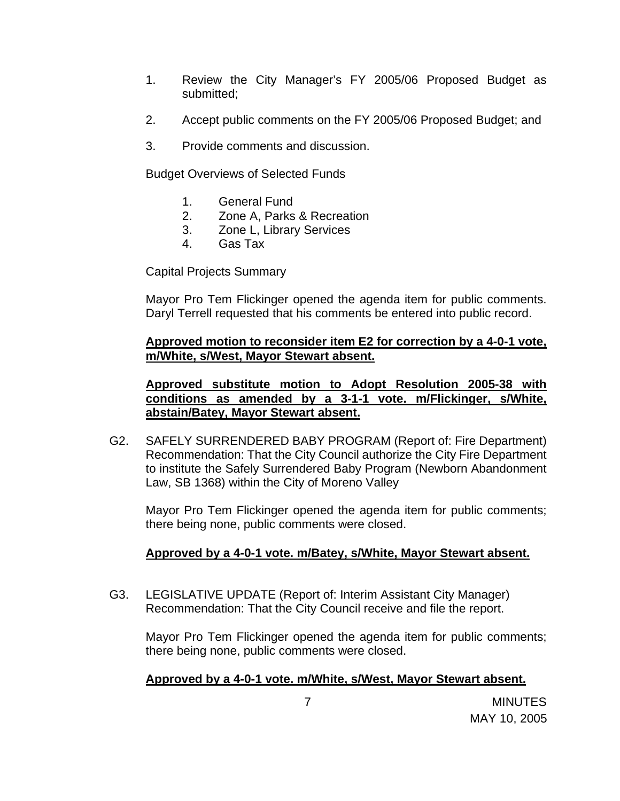- 1. Review the City Manager's FY 2005/06 Proposed Budget as submitted;
- 2. Accept public comments on the FY 2005/06 Proposed Budget; and
- 3. Provide comments and discussion.

Budget Overviews of Selected Funds

- 1. General Fund
- 2. Zone A, Parks & Recreation
- 3. Zone L, Library Services
- 4. Gas Tax

Capital Projects Summary

Mayor Pro Tem Flickinger opened the agenda item for public comments. Daryl Terrell requested that his comments be entered into public record.

**Approved motion to reconsider item E2 for correction by a 4-0-1 vote, m/White, s/West, Mayor Stewart absent.**

 **Approved substitute motion to Adopt Resolution 2005-38 with conditions as amended by a 3-1-1 vote. m/Flickinger, s/White, abstain/Batey, Mayor Stewart absent.**

G2. SAFELY SURRENDERED BABY PROGRAM (Report of: Fire Department) Recommendation: That the City Council authorize the City Fire Department to institute the Safely Surrendered Baby Program (Newborn Abandonment Law, SB 1368) within the City of Moreno Valley

Mayor Pro Tem Flickinger opened the agenda item for public comments; there being none, public comments were closed.

# **Approved by a 4-0-1 vote. m/Batey, s/White, Mayor Stewart absent.**

G3. LEGISLATIVE UPDATE (Report of: Interim Assistant City Manager) Recommendation: That the City Council receive and file the report.

Mayor Pro Tem Flickinger opened the agenda item for public comments; there being none, public comments were closed.

# **Approved by a 4-0-1 vote. m/White, s/West, Mayor Stewart absent.**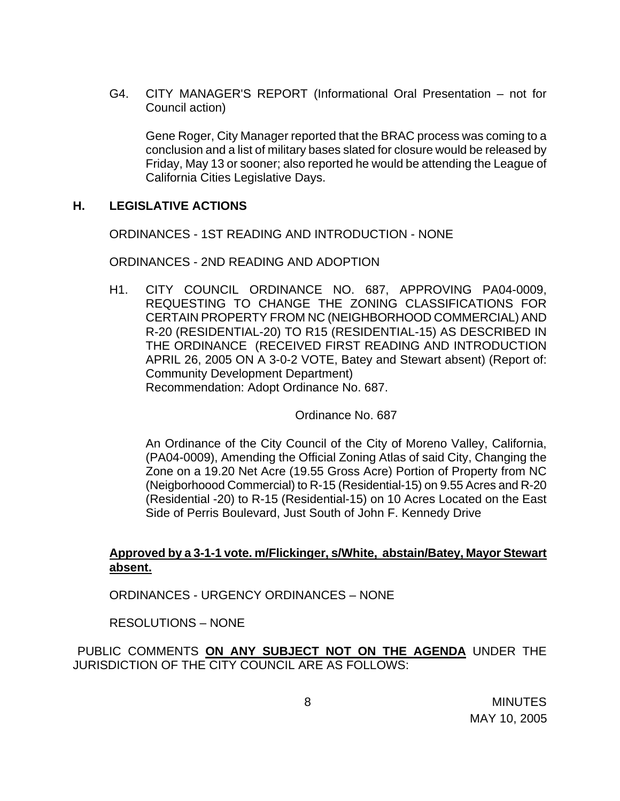G4. CITY MANAGER'S REPORT (Informational Oral Presentation – not for Council action)

 Gene Roger, City Manager reported that the BRAC process was coming to a conclusion and a list of military bases slated for closure would be released by Friday, May 13 or sooner; also reported he would be attending the League of California Cities Legislative Days.

### **H. LEGISLATIVE ACTIONS**

ORDINANCES - 1ST READING AND INTRODUCTION - NONE

ORDINANCES - 2ND READING AND ADOPTION

H1. CITY COUNCIL ORDINANCE NO. 687, APPROVING PA04-0009, REQUESTING TO CHANGE THE ZONING CLASSIFICATIONS FOR CERTAIN PROPERTY FROM NC (NEIGHBORHOOD COMMERCIAL) AND R-20 (RESIDENTIAL-20) TO R15 (RESIDENTIAL-15) AS DESCRIBED IN THE ORDINANCE (RECEIVED FIRST READING AND INTRODUCTION APRIL 26, 2005 ON A 3-0-2 VOTE, Batey and Stewart absent) (Report of: Community Development Department) Recommendation: Adopt Ordinance No. 687.

Ordinance No. 687

An Ordinance of the City Council of the City of Moreno Valley, California, (PA04-0009), Amending the Official Zoning Atlas of said City, Changing the Zone on a 19.20 Net Acre (19.55 Gross Acre) Portion of Property from NC (Neigborhoood Commercial) to R-15 (Residential-15) on 9.55 Acres and R-20 (Residential -20) to R-15 (Residential-15) on 10 Acres Located on the East Side of Perris Boulevard, Just South of John F. Kennedy Drive

## **Approved by a 3-1-1 vote. m/Flickinger, s/White, abstain/Batey, Mayor Stewart absent.**

ORDINANCES - URGENCY ORDINANCES – NONE

RESOLUTIONS – NONE

PUBLIC COMMENTS **ON ANY SUBJECT NOT ON THE AGENDA** UNDER THE JURISDICTION OF THE CITY COUNCIL ARE AS FOLLOWS: